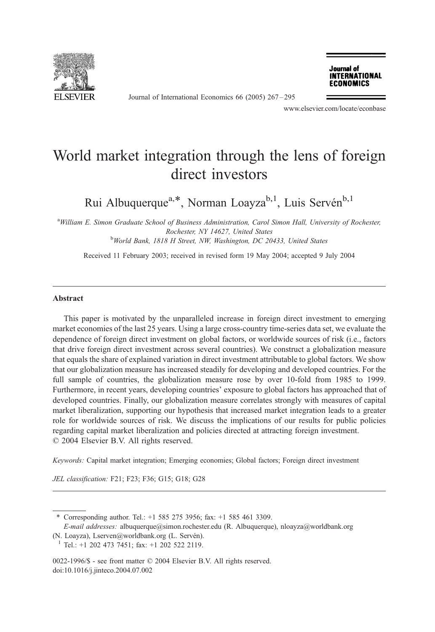

Journal of International Economics 66 (2005) 267 – 295

Journal of **INTERNATIONAL ECONOMICS** 

www.elsevier.com/locate/econbase

## World market integration through the lens of foreign direct investors

Rui Albuquerque<sup>a,\*</sup>, Norman Loayza<sup>b,1</sup>, Luis Servén<sup>b,1</sup>

<sup>a</sup> William E. Simon Graduate School of Business Administration, Carol Simon Hall, University of Rochester, Rochester, NY 14627, United States<br><sup>b</sup>World Bank, 1818 H Street, NW, Washington, DC 20433, United States

Received 11 February 2003; received in revised form 19 May 2004; accepted 9 July 2004

## Abstract

This paper is motivated by the unparalleled increase in foreign direct investment to emerging market economies of the last 25 years. Using a large cross-country time-series data set, we evaluate the dependence of foreign direct investment on global factors, or worldwide sources of risk (i.e., factors that drive foreign direct investment across several countries). We construct a globalization measure that equals the share of explained variation in direct investment attributable to global factors. We show that our globalization measure has increased steadily for developing and developed countries. For the full sample of countries, the globalization measure rose by over 10-fold from 1985 to 1999. Furthermore, in recent years, developing countries' exposure to global factors has approached that of developed countries. Finally, our globalization measure correlates strongly with measures of capital market liberalization, supporting our hypothesis that increased market integration leads to a greater role for worldwide sources of risk. We discuss the implications of our results for public policies regarding capital market liberalization and policies directed at attracting foreign investment.  $\odot$  2004 Elsevier B.V. All rights reserved.

Keywords: Capital market integration; Emerging economies; Global factors; Foreign direct investment

JEL classification: F21; F23; F36; G15; G18; G28

\* Corresponding author. Tel.: +1 585 275 3956; fax: +1 585 461 3309.

E-mail addresses: albuquerque@simon.rochester.edu (R. Albuquerque), nloayza@worldbank.org

(N. Loayza), Lserven@worldbank.org (L. Servén).<br><sup>1</sup> Tel.: +1 202 473 7451; fax: +1 202 522 2119.

0022-1996/\$ - see front matter © 2004 Elsevier B.V. All rights reserved. doi:10.1016/j.jinteco.2004.07.002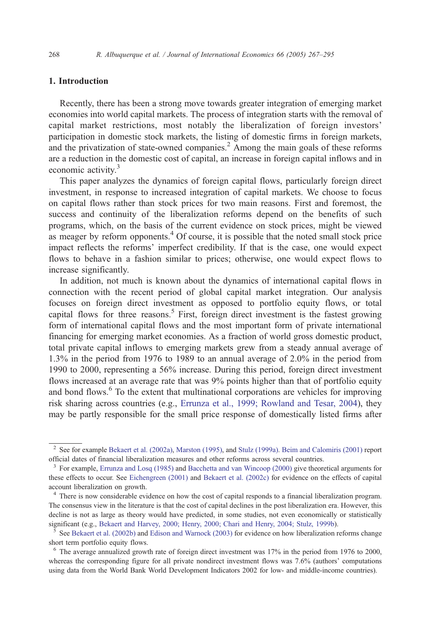## 1. Introduction

Recently, there has been a strong move towards greater integration of emerging market economies into world capital markets. The process of integration starts with the removal of capital market restrictions, most notably the liberalization of foreign investors' participation in domestic stock markets, the listing of domestic firms in foreign markets, and the privatization of state-owned companies.<sup>2</sup> Among the main goals of these reforms are a reduction in the domestic cost of capital, an increase in foreign capital inflows and in economic activity.<sup>3</sup>

This paper analyzes the dynamics of foreign capital flows, particularly foreign direct investment, in response to increased integration of capital markets. We choose to focus on capital flows rather than stock prices for two main reasons. First and foremost, the success and continuity of the liberalization reforms depend on the benefits of such programs, which, on the basis of the current evidence on stock prices, might be viewed as meager by reform opponents.<sup>4</sup> Of course, it is possible that the noted small stock price impact reflects the reforms' imperfect credibility. If that is the case, one would expect flows to behave in a fashion similar to prices; otherwise, one would expect flows to increase significantly.

In addition, not much is known about the dynamics of international capital flows in connection with the recent period of global capital market integration. Our analysis focuses on foreign direct investment as opposed to portfolio equity flows, or total capital flows for three reasons.<sup>5</sup> First, foreign direct investment is the fastest growing form of international capital flows and the most important form of private international financing for emerging market economies. As a fraction of world gross domestic product, total private capital inflows to emerging markets grew from a steady annual average of 1.3% in the period from 1976 to 1989 to an annual average of 2.0% in the period from 1990 to 2000, representing a 56% increase. During this period, foreign direct investment flows increased at an average rate that was 9% points higher than that of portfolio equity and bond flows.<sup>6</sup> To the extent that multinational corporations are vehicles for improving risk sharing across countries (e.g., [Errunza et al., 1999; Rowland and Tesar, 2004\)](#page--1-0), they may be partly responsible for the small price response of domestically listed firms after

<sup>&</sup>lt;sup>2</sup> See for example [Bekaert et al. \(2002a\),](#page--1-0) [Marston \(1995\),](#page--1-0) and [Stulz \(1999a\).](#page--1-0) [Beim and Calomiris \(2001\)](#page--1-0) report official dates of financial liberalization measures and other reforms across several countries.

<sup>&</sup>lt;sup>3</sup> For example, [Errunza and Losq \(1985\)](#page--1-0) and [Bacchetta and van Wincoop \(2000\)](#page--1-0) give theoretical arguments for these effects to occur. See [Eichengreen \(2001\)](#page--1-0) and [Bekaert et al. \(2002c\)](#page--1-0) for evidence on the effects of capital account liberalization on growth.

<sup>&</sup>lt;sup>4</sup> There is now considerable evidence on how the cost of capital responds to a financial liberalization program. The consensus view in the literature is that the cost of capital declines in the post liberalization era. However, this decline is not as large as theory would have predicted, in some studies, not even economically or statistically significant (e.g., [Bekaert and Harvey, 2000; Henry, 2000; Chari and Henry, 2004; Stulz, 1999b\)](#page--1-0).<br><sup>5</sup> See [Bekaert et al. \(2002b\)](#page--1-0) and [Edison and Warnock \(2003\)](#page--1-0) for evidence on how liberalization reforms change

short term portfolio equity flows.

<sup>6</sup> The average annualized growth rate of foreign direct investment was 17% in the period from 1976 to 2000, whereas the corresponding figure for all private nondirect investment flows was 7.6% (authors' computations using data from the World Bank World Development Indicators 2002 for low- and middle-income countries).